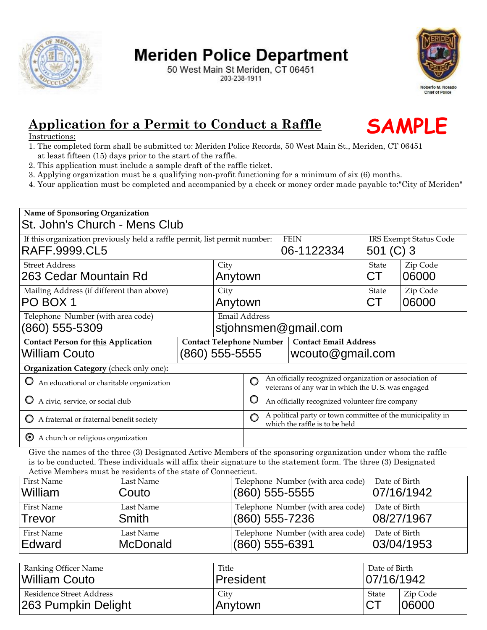

# **Meriden Police Department**

50 West Main St Meriden, CT 06451 203-238-1911



### **Application for a Permit to Conduct a Raffle**

#### Instructions:

- 1. The completed form shall be submitted to: Meriden Police Records, 50 West Main St., Meriden, CT 06451 at least fifteen (15) days prior to the start of the raffle.
- 2. This application must include a sample draft of the raffle ticket.
- 3. Applying organization must be a qualifying non-profit functioning for a minimum of six (6) months.
- 4. Your application must be completed and accompanied by a check or money order made payable to:"City of Meriden"

| <u> Application for a Permit to Conduct a Raffle</u>                                                                                                                                                                                                                                                                                                                                                                             |                                                              |  |                                       |                                                                                                                                                                                 |                                   |           |                               | <b>SAMPLE</b> |  |
|----------------------------------------------------------------------------------------------------------------------------------------------------------------------------------------------------------------------------------------------------------------------------------------------------------------------------------------------------------------------------------------------------------------------------------|--------------------------------------------------------------|--|---------------------------------------|---------------------------------------------------------------------------------------------------------------------------------------------------------------------------------|-----------------------------------|-----------|-------------------------------|---------------|--|
| Instructions:<br>1. The completed form shall be submitted to: Meriden Police Records, 50 West Main St., Meriden, CT 06451<br>2. This application must include a sample draft of the raffle ticket.<br>3. Applying organization must be a qualifying non-profit functioning for a minimum of six (6) months.<br>4. Your application must be completed and accompanied by a check or money order made payable to:"City of Meriden" | at least fifteen (15) days prior to the start of the raffle. |  |                                       |                                                                                                                                                                                 |                                   |           |                               |               |  |
| Name of Sponsoring Organization<br>St. John's Church - Mens Club                                                                                                                                                                                                                                                                                                                                                                 |                                                              |  |                                       |                                                                                                                                                                                 |                                   |           |                               |               |  |
| If this organization previously held a raffle permit, list permit number:                                                                                                                                                                                                                                                                                                                                                        |                                                              |  |                                       | <b>FEIN</b>                                                                                                                                                                     |                                   |           | <b>IRS Exempt Status Code</b> |               |  |
| RAFF.9999.CL5                                                                                                                                                                                                                                                                                                                                                                                                                    |                                                              |  |                                       | 06-1122334                                                                                                                                                                      |                                   |           | 501 $(C)$ 3                   |               |  |
| <b>Street Address</b>                                                                                                                                                                                                                                                                                                                                                                                                            |                                                              |  |                                       | City                                                                                                                                                                            |                                   |           | State                         | Zip Code      |  |
| 263 Cedar Mountain Rd                                                                                                                                                                                                                                                                                                                                                                                                            |                                                              |  |                                       | Anytown                                                                                                                                                                         |                                   |           | СT                            | 06000         |  |
| Mailing Address (if different than above)                                                                                                                                                                                                                                                                                                                                                                                        |                                                              |  | City                                  |                                                                                                                                                                                 |                                   | State     | Zip Code                      |               |  |
| PO BOX 1                                                                                                                                                                                                                                                                                                                                                                                                                         |                                                              |  | Anytown                               |                                                                                                                                                                                 |                                   | <b>CT</b> | 06000                         |               |  |
| Telephone Number (with area code)<br>(860) 555-5309                                                                                                                                                                                                                                                                                                                                                                              |                                                              |  | Email Address<br>stjohnsmen@gmail.com |                                                                                                                                                                                 |                                   |           |                               |               |  |
| <b>Contact Person for this Application</b>                                                                                                                                                                                                                                                                                                                                                                                       |                                                              |  | <b>Contact Telephone Number</b>       |                                                                                                                                                                                 | <b>Contact Email Address</b>      |           |                               |               |  |
| William Couto                                                                                                                                                                                                                                                                                                                                                                                                                    |                                                              |  | $(860)$ 555-5555                      |                                                                                                                                                                                 | wcouto@gmail.com                  |           |                               |               |  |
| Organization Category (check only one):<br>O An educational or charitable organization                                                                                                                                                                                                                                                                                                                                           |                                                              |  |                                       | An officially recognized organization or association of<br>$\circ$<br>veterans of any war in which the U.S. was engaged<br>O<br>An officially recognized volunteer fire company |                                   |           |                               |               |  |
| A civic, service, or social club<br>O<br>O<br>A fraternal or fraternal benefit society                                                                                                                                                                                                                                                                                                                                           |                                                              |  |                                       | A political party or town committee of the municipality in<br>$\circ$<br>which the raffle is to be held                                                                         |                                   |           |                               |               |  |
| $\bullet$ A church or religious organization<br>Give the names of the three (3) Designated Active Members of the sponsoring organization under whom the raffle<br>is to be conducted. These individuals will affix their signature to the statement form. The three (3) Designated<br>Active Members must be residents of the state of Connecticut.                                                                              |                                                              |  |                                       |                                                                                                                                                                                 |                                   |           |                               |               |  |
| <b>First Name</b>                                                                                                                                                                                                                                                                                                                                                                                                                | Last Name                                                    |  |                                       |                                                                                                                                                                                 | Telephone Number (with area code) |           |                               | Date of Birth |  |
| William                                                                                                                                                                                                                                                                                                                                                                                                                          | Couto                                                        |  |                                       |                                                                                                                                                                                 | (860) 555-5555                    |           |                               | 07/16/1942    |  |
| <b>First Name</b>                                                                                                                                                                                                                                                                                                                                                                                                                | Last Name                                                    |  |                                       | Telephone Number (with area code)                                                                                                                                               |                                   |           | Date of Birth                 |               |  |
| Trevor                                                                                                                                                                                                                                                                                                                                                                                                                           | Smith                                                        |  |                                       | (860) 555-7236                                                                                                                                                                  |                                   |           | 08/27/1967                    |               |  |
| <b>First Name</b>                                                                                                                                                                                                                                                                                                                                                                                                                | Last Name                                                    |  |                                       | Telephone Number (with area code)                                                                                                                                               |                                   |           | Date of Birth                 |               |  |
| Edward                                                                                                                                                                                                                                                                                                                                                                                                                           | McDonald                                                     |  |                                       | (860) 555-6391                                                                                                                                                                  |                                   |           | 03/04/1953                    |               |  |
| Ranking Officer Name                                                                                                                                                                                                                                                                                                                                                                                                             |                                                              |  | Title                                 |                                                                                                                                                                                 |                                   |           | Date of Birth                 |               |  |
| <b>William Couto</b>                                                                                                                                                                                                                                                                                                                                                                                                             |                                                              |  | President                             |                                                                                                                                                                                 |                                   |           | 07/16/1942                    |               |  |
| Residence Street Address                                                                                                                                                                                                                                                                                                                                                                                                         |                                                              |  | City                                  |                                                                                                                                                                                 |                                   |           | <b>State</b>                  | Zip Code      |  |
| 263 Pumpkin Delight                                                                                                                                                                                                                                                                                                                                                                                                              |                                                              |  | Anytown                               |                                                                                                                                                                                 |                                   |           | CT                            | 06000         |  |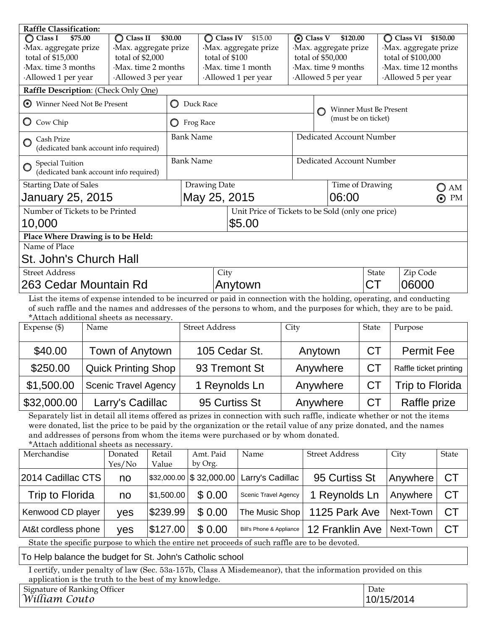| <b>Raffle Classification:</b>                                                                                                                                                                                                                                                                                                                                                |                    |                             |                    |                                 |                                                   |               |                                          |                            |                        |                              |         |
|------------------------------------------------------------------------------------------------------------------------------------------------------------------------------------------------------------------------------------------------------------------------------------------------------------------------------------------------------------------------------|--------------------|-----------------------------|--------------------|---------------------------------|---------------------------------------------------|---------------|------------------------------------------|----------------------------|------------------------|------------------------------|---------|
| $\bigcirc$ Class I<br>\$75.00                                                                                                                                                                                                                                                                                                                                                |                    | $\overline{O}$ Class II     | \$30.00            | <b>Class IV</b><br>\$15.00<br>O |                                                   |               | $\odot$ Class V<br>\$120.00              |                            |                        | $\bigcirc$ Class VI \$150.00 |         |
| Max. aggregate prize                                                                                                                                                                                                                                                                                                                                                         |                    | Max. aggregate prize        |                    | Max. aggregate prize            |                                                   |               | ·Max. aggregate prize                    |                            |                        | ·Max. aggregate prize        |         |
| total of \$15,000                                                                                                                                                                                                                                                                                                                                                            |                    | total of \$2,000            |                    | total of \$100                  |                                                   |               | total of \$50,000                        |                            |                        | total of \$100,000           |         |
| Max. time 3 months                                                                                                                                                                                                                                                                                                                                                           | Max. time 2 months |                             |                    | Max. time 1 month               |                                                   |               |                                          | Max. time 9 months         |                        | Max. time 12 months          |         |
| Allowed 1 per year                                                                                                                                                                                                                                                                                                                                                           |                    |                             | Allowed 3 per year | Allowed 1 per year              |                                                   |               | Allowed 5 per year<br>Allowed 5 per year |                            |                        |                              |         |
| Raffle Description: (Check Only One)                                                                                                                                                                                                                                                                                                                                         |                    |                             |                    |                                 |                                                   |               |                                          |                            |                        |                              |         |
| Winner Need Not Be Present<br>⊙                                                                                                                                                                                                                                                                                                                                              |                    |                             | $\circ$            | Duck Race                       |                                                   |               | Winner Must Be Present                   |                            |                        |                              |         |
| Cow Chip<br>Ő                                                                                                                                                                                                                                                                                                                                                                |                    |                             |                    | <b>O</b> Frog Race              |                                                   |               | (must be on ticket)                      |                            |                        |                              |         |
| Cash Prize<br>(dedicated bank account info required)                                                                                                                                                                                                                                                                                                                         |                    |                             |                    | <b>Bank Name</b>                |                                                   |               | Dedicated Account Number                 |                            |                        |                              |         |
| <b>Special Tuition</b><br>O<br>(dedicated bank account info required)                                                                                                                                                                                                                                                                                                        |                    |                             |                    | <b>Bank Name</b>                |                                                   |               | Dedicated Account Number                 |                            |                        |                              |         |
| <b>Starting Date of Sales</b>                                                                                                                                                                                                                                                                                                                                                |                    |                             |                    | Drawing Date                    |                                                   |               |                                          | Time of Drawing<br>O<br>AM |                        |                              |         |
| January 25, 2015                                                                                                                                                                                                                                                                                                                                                             |                    |                             |                    | May 25, 2015                    |                                                   | 06:00         |                                          |                            |                        |                              | PM<br>⊙ |
| Number of Tickets to be Printed                                                                                                                                                                                                                                                                                                                                              |                    |                             |                    |                                 | Unit Price of Tickets to be Sold (only one price) |               |                                          |                            |                        |                              |         |
|                                                                                                                                                                                                                                                                                                                                                                              | \$5.00<br>10,000   |                             |                    |                                 |                                                   |               |                                          |                            |                        |                              |         |
| Place Where Drawing is to be Held:                                                                                                                                                                                                                                                                                                                                           |                    |                             |                    |                                 |                                                   |               |                                          |                            |                        |                              |         |
| Name of Place                                                                                                                                                                                                                                                                                                                                                                |                    |                             |                    |                                 |                                                   |               |                                          |                            |                        |                              |         |
| St. John's Church Hall                                                                                                                                                                                                                                                                                                                                                       |                    |                             |                    |                                 |                                                   |               |                                          |                            |                        |                              |         |
| <b>Street Address</b>                                                                                                                                                                                                                                                                                                                                                        |                    |                             | City               |                                 |                                                   |               |                                          | <b>State</b>               | Zip Code               |                              |         |
| 263 Cedar Mountain Rd                                                                                                                                                                                                                                                                                                                                                        |                    |                             |                    | Anytown                         |                                                   |               |                                          | <b>CT</b>                  | 06000                  |                              |         |
| List the items of expense intended to be incurred or paid in connection with the holding, operating, and conducting<br>of such raffle and the names and addresses of the persons to whom, and the purposes for which, they are to be paid.<br>*Attach additional sheets as necessary.                                                                                        |                    |                             |                    |                                 |                                                   |               |                                          |                            |                        |                              |         |
| Expense (\$)                                                                                                                                                                                                                                                                                                                                                                 | Name               |                             |                    | <b>Street Address</b>           |                                                   | City          |                                          | State                      | Purpose                |                              |         |
| \$40.00                                                                                                                                                                                                                                                                                                                                                                      |                    | Town of Anytown             |                    | 105 Cedar St.                   |                                                   | Anytown       |                                          | <b>CT</b>                  | <b>Permit Fee</b>      |                              |         |
| \$250.00                                                                                                                                                                                                                                                                                                                                                                     |                    | <b>Quick Printing Shop</b>  |                    | 93 Tremont St                   |                                                   | Anywhere      |                                          | <b>CT</b>                  | Raffle ticket printing |                              |         |
| \$1,500.00                                                                                                                                                                                                                                                                                                                                                                   |                    | <b>Scenic Travel Agency</b> |                    | 1 Reynolds Ln                   |                                                   |               | Anywhere                                 |                            | <b>CT</b>              | Trip to Florida              |         |
| \$32,000.00                                                                                                                                                                                                                                                                                                                                                                  |                    | Larry's Cadillac            |                    |                                 | 95 Curtiss St                                     |               | Anywhere                                 |                            | <b>CT</b>              | Raffle prize                 |         |
| Separately list in detail all items offered as prizes in connection with such raffle, indicate whether or not the items<br>were donated, list the price to be paid by the organization or the retail value of any prize donated, and the names<br>and addresses of persons from whom the items were purchased or by whom donated.<br>*Attach additional sheets as necessary. |                    |                             |                    |                                 |                                                   |               |                                          |                            |                        |                              |         |
| Merchandise                                                                                                                                                                                                                                                                                                                                                                  |                    | Donated<br>Yes/No           | Retail<br>Value    | Amt. Paid<br>by Org.            | Name                                              |               |                                          | <b>Street Address</b>      |                        | City                         | State   |
| 2014 Cadillac CTS                                                                                                                                                                                                                                                                                                                                                            | \$32,000.00<br>no  |                             | \$32,000.00        | Larry's Cadillac                |                                                   | 95 Curtiss St |                                          |                            | Anywhere               | <b>CT</b>                    |         |
| Trip to Florida<br>\$1,500.00<br>no                                                                                                                                                                                                                                                                                                                                          |                    | \$0.00                      |                    | Scenic Travel Agency            |                                                   | 1 Reynolds Ln |                                          | Anywhere                   | <b>CT</b>              |                              |         |

State the specific purpose to which the entire net proceeds of such raffle are to be devoted.

To Help balance the budget for St. John's Catholic school

I certify, under penalty of law (Sec. 53a-157b, Class A Misdemeanor), that the information provided on this application is the truth to the best of my knowledge.

Kenwood CD player |  $yes$   $| $239.99 | $ 0.00 |$  The Music Shop | 1125 Park Ave | Next-Town | CT

At&t cordless phone  $|$  yes  $|$ \$127.00  $|$  \$ 0.00  $|$  Bill's Phone & Appliance 12 Franklin Ave Next-Town  $|$  CT

| Signature of Ranking Officer | Date       |
|------------------------------|------------|
| William Couto                | 10/15/2014 |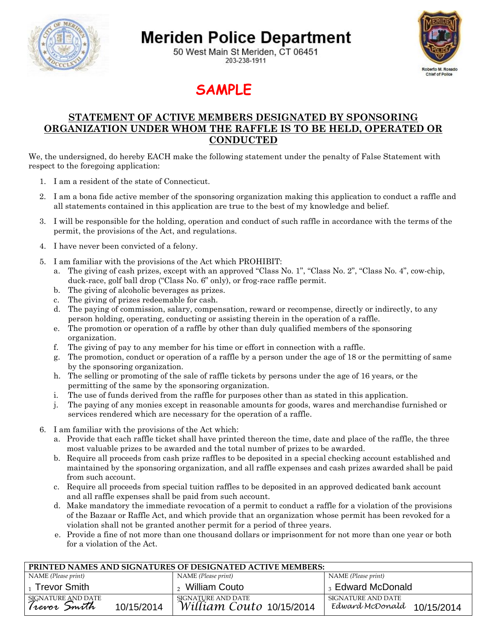

## **Meriden Police Department**

50 West Main St Meriden, CT 06451 203-238-1911



### **SAMPLE**

#### **STATEMENT OF ACTIVE MEMBERS DESIGNATED BY SPONSORING ORGANIZATION UNDER WHOM THE RAFFLE IS TO BE HELD, OPERATED OR CONDUCTED**

We, the undersigned, do hereby EACH make the following statement under the penalty of False Statement with respect to the foregoing application:

- 1. I am a resident of the state of Connecticut.
- 2. I am a bona fide active member of the sponsoring organization making this application to conduct a raffle and all statements contained in this application are true to the best of my knowledge and belief.
- 3. I will be responsible for the holding, operation and conduct of such raffle in accordance with the terms of the permit, the provisions of the Act, and regulations.
- 4. I have never been convicted of a felony.
- 5. I am familiar with the provisions of the Act which PROHIBIT:
	- a. The giving of cash prizes, except with an approved "Class No. 1", "Class No. 2", "Class No. 4", cow-chip, duck-race, golf ball drop ("Class No. 6" only), or frog-race raffle permit.
	- b. The giving of alcoholic beverages as prizes.
	- c. The giving of prizes redeemable for cash.
	- d. The paying of commission, salary, compensation, reward or recompense, directly or indirectly, to any person holding, operating, conducting or assisting therein in the operation of a raffle.
	- e. The promotion or operation of a raffle by other than duly qualified members of the sponsoring organization.
	- f. The giving of pay to any member for his time or effort in connection with a raffle.
	- g. The promotion, conduct or operation of a raffle by a person under the age of 18 or the permitting of same by the sponsoring organization.
	- h. The selling or promoting of the sale of raffle tickets by persons under the age of 16 years, or the permitting of the same by the sponsoring organization.
	- i. The use of funds derived from the raffle for purposes other than as stated in this application.
	- j. The paying of any monies except in reasonable amounts for goods, wares and merchandise furnished or services rendered which are necessary for the operation of a raffle.
- 6. I am familiar with the provisions of the Act which:
	- a. Provide that each raffle ticket shall have printed thereon the time, date and place of the raffle, the three most valuable prizes to be awarded and the total number of prizes to be awarded.
	- b. Require all proceeds from cash prize raffles to be deposited in a special checking account established and maintained by the sponsoring organization, and all raffle expenses and cash prizes awarded shall be paid from such account.
	- c. Require all proceeds from special tuition raffles to be deposited in an approved dedicated bank account and all raffle expenses shall be paid from such account.
	- d. Make mandatory the immediate revocation of a permit to conduct a raffle for a violation of the provisions of the Bazaar or Raffle Act, and which provide that an organization whose permit has been revoked for a violation shall not be granted another permit for a period of three years.
	- e. Provide a fine of not more than one thousand dollars or imprisonment for not more than one year or both for a violation of the Act.

| PRINTED NAMES AND SIGNATURES OF DESIGNATED ACTIVE MEMBERS: |            |                                                |                                                     |  |
|------------------------------------------------------------|------------|------------------------------------------------|-----------------------------------------------------|--|
| NAME (Please print)                                        |            | NAME (Please print)                            | NAME (Please print)                                 |  |
| <b>Trevor Smith</b>                                        |            | William Couto                                  | Edward McDonald                                     |  |
| SIGNATURE AND DATE<br>Trevor Smith                         | 10/15/2014 | SIGNATURE AND DATE<br>William Couto 10/15/2014 | SIGNATURE AND DATE<br>Edward McDonald<br>10/15/2014 |  |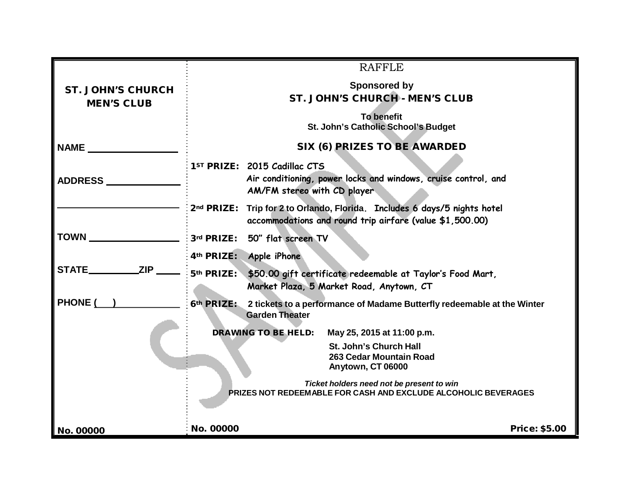|                                               | <b>RAFFLE</b>                                                                                                                         |  |  |  |  |  |
|-----------------------------------------------|---------------------------------------------------------------------------------------------------------------------------------------|--|--|--|--|--|
| <b>ST. JOHN'S CHURCH</b><br><b>MEN'S CLUB</b> | <b>Sponsored by</b><br>ST. JOHN'S CHURCH - MEN'S CLUB                                                                                 |  |  |  |  |  |
|                                               | <b>To benefit</b><br>St. John's Catholic School's Budget                                                                              |  |  |  |  |  |
| NAME                                          | SIX (6) PRIZES TO BE AWARDED                                                                                                          |  |  |  |  |  |
| <b>ADDRESS</b>                                | 1ST PRIZE: 2015 Cadillac CTS<br>Air conditioning, power locks and windows, cruise control, and<br>AM/FM stereo with CD player         |  |  |  |  |  |
|                                               | 2nd PRIZE: Trip for 2 to Orlando, Florida. Includes 6 days/5 nights hotel<br>accommodations and round trip airfare (value \$1,500.00) |  |  |  |  |  |
| <b>TOWN</b>                                   | 3rd PRIZE: 50" flat screen TV                                                                                                         |  |  |  |  |  |
|                                               | 4th PRIZE: Apple iPhone                                                                                                               |  |  |  |  |  |
| <b>STATE_</b>                                 | 5 <sup>th</sup> PRIZE: \$50.00 gift certificate redeemable at Taylor's Food Mart,<br>Market Plaza, 5 Market Road, Anytown, CT         |  |  |  |  |  |
| <b>PHONE (</b>                                | 6th PRIZE: 2 tickets to a performance of Madame Butterfly redeemable at the Winter<br><b>Garden Theater</b>                           |  |  |  |  |  |
|                                               | <b>DRAWING TO BE HELD:</b><br>May 25, 2015 at 11:00 p.m.                                                                              |  |  |  |  |  |
|                                               | St. John's Church Hall<br>263 Cedar Mountain Road<br>Anytown, CT 06000                                                                |  |  |  |  |  |
|                                               | Ticket holders need not be present to win<br><b>PRIZES NOT REDEEMABLE FOR CASH AND EXCLUDE ALCOHOLIC BEVERAGES</b>                    |  |  |  |  |  |
| No. 00000                                     | No. 00000<br><b>Price: \$5.00</b>                                                                                                     |  |  |  |  |  |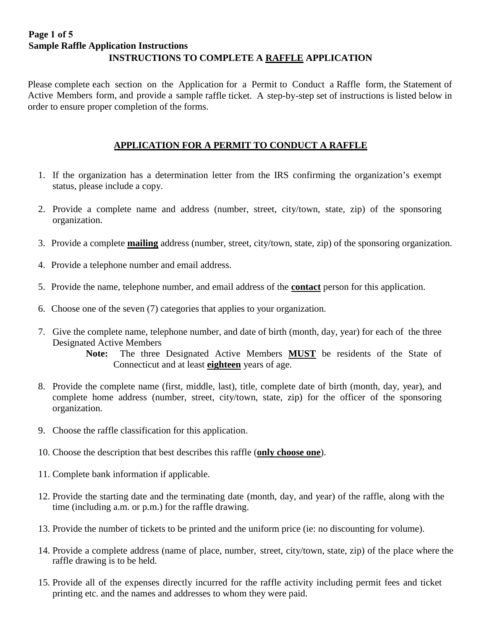#### **Page 1 of 5 Sample Raffle Application Instructions INSTRUCTIONS TO COMPLETE A RAFFLE APPLICATION**

Please complete each section on the Application for a Permit to Conduct a Raffle form, the Statement of Active Members form, and provide a sample raffle ticket. A step-by-step set of instructions is listed below in order to ensure proper completion of the forms.

#### **APPLICATION FOR A PERMIT TO CONDUCT A RAFFLE**

- 1. If the organization has a determination letter from the IRS confirming the organization's exempt status, please include a copy.
- 2. Provide a complete name and address (number, street, city/town, state, zip) of the sponsoring organization.
- 3. Provide a complete **mailing** address (number, street, city/town, state, zip) of the sponsoring organization.
- 4. Provide a telephone number and email address.
- 5. Provide the name, telephone number, and email address of the **contact** person for this application.
- 6. Choose one of the seven (7) categories that applies to your organization.
- 7. Give the complete name, telephone number, and date of birth (month, day, year) for each of the three Designated Active Members

 **Note:** The three Designated Active Members **MUST** be residents of the State of Connecticut and at least **eighteen** years of age.

- 8. Provide the complete name (first, middle, last), title, complete date of birth (month, day, year), and complete home address (number, street, city/town, state, zip) for the officer of the sponsoring organization.
- 9. Choose the raffle classification for this application.
- 10. Choose the description that best describes this raffle (**only choose one**).
- 11. Complete bank information if applicable.
- 12. Provide the starting date and the terminating date (month, day, and year) of the raffle, along with the time (including a.m. or p.m.) for the raffle drawing.
- 13. Provide the number of tickets to be printed and the uniform price (ie: no discounting for volume).
- 14. Provide a complete address (name of place, number, street, city/town, state, zip) of the place where the raffle drawing is to be held.
- 15. Provide all of the expenses directly incurred for the raffle activity including permit fees and ticket printing etc. and the names and addresses to whom they were paid.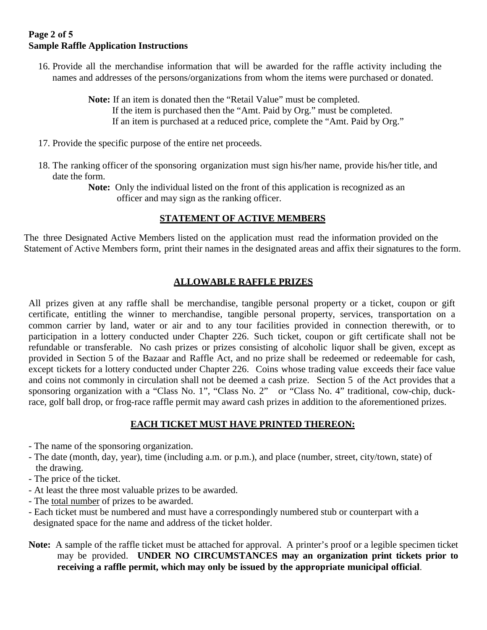#### **Page 2 of 5 Sample Raffle Application Instructions**

16. Provide all the merchandise information that will be awarded for the raffle activity including the names and addresses of the persons/organizations from whom the items were purchased or donated.

> **Note:** If an item is donated then the "Retail Value" must be completed. If the item is purchased then the "Amt. Paid by Org." must be completed. If an item is purchased at a reduced price, complete the "Amt. Paid by Org."

- 17. Provide the specific purpose of the entire net proceeds.
- 18. The ranking officer of the sponsoring organization must sign his/her name, provide his/her title, and date the form.

Note: Only the individual listed on the front of this application is recognized as an officer and may sign as the ranking officer.

#### **STATEMENT OF ACTIVE MEMBERS**

The three Designated Active Members listed on the application must read the information provided on the Statement of Active Members form, print their names in the designated areas and affix their signatures to the form.

#### **ALLOWABLE RAFFLE PRIZES**

All prizes given at any raffle shall be merchandise, tangible personal property or a ticket, coupon or gift certificate, entitling the winner to merchandise, tangible personal property, services, transportation on a common carrier by land, water or air and to any tour facilities provided in connection therewith, or to participation in a lottery conducted under Chapter 226. Such ticket, coupon or gift certificate shall not be refundable or transferable. No cash prizes or prizes consisting of alcoholic liquor shall be given, except as provided in Section 5 of the Bazaar and Raffle Act, and no prize shall be redeemed or redeemable for cash, except tickets for a lottery conducted under Chapter 226. Coins whose trading value exceeds their face value and coins not commonly in circulation shall not be deemed a cash prize. Section 5 of the Act provides that a sponsoring organization with a "Class No. 1", "Class No. 2" or "Class No. 4" traditional, cow-chip, duckrace, golf ball drop, or frog-race raffle permit may award cash prizes in addition to the aforementioned prizes.

#### **EACH TICKET MUST HAVE PRINTED THEREON:**

- The name of the sponsoring organization.
- The date (month, day, year), time (including a.m. or p.m.), and place (number, street, city/town, state) of the drawing.
- The price of the ticket.
- At least the three most valuable prizes to be awarded.
- The total number of prizes to be awarded.
- Each ticket must be numbered and must have a correspondingly numbered stub or counterpart with a designated space for the name and address of the ticket holder.
- **Note:** A sample of the raffle ticket must be attached for approval. A printer's proof or a legible specimen ticket may be provided. **UNDER NO CIRCUMSTANCES may an organization print tickets prior to receiving a raffle permit, which may only be issued by the appropriate municipal official**.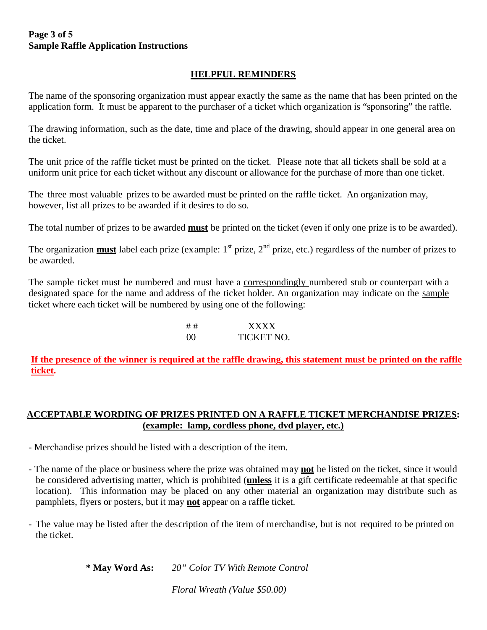#### **Page 3 of 5 Sample Raffle Application Instructions**

#### **HELPFUL REMINDERS**

The name of the sponsoring organization must appear exactly the same as the name that has been printed on the application form. It must be apparent to the purchaser of a ticket which organization is "sponsoring" the raffle.

The drawing information, such as the date, time and place of the drawing, should appear in one general area on the ticket.

The unit price of the raffle ticket must be printed on the ticket. Please note that all tickets shall be sold at a uniform unit price for each ticket without any discount or allowance for the purchase of more than one ticket.

The three most valuable prizes to be awarded must be printed on the raffle ticket. An organization may, however, list all prizes to be awarded if it desires to do so.

The total number of prizes to be awarded **must** be printed on the ticket (even if only one prize is to be awarded).

The organization **must** label each prize (example: 1<sup>st</sup> prize, 2<sup>nd</sup> prize, etc.) regardless of the number of prizes to be awarded.

The sample ticket must be numbered and must have a correspondingly numbered stub or counterpart with a designated space for the name and address of the ticket holder. An organization may indicate on the sample ticket where each ticket will be numbered by using one of the following:

> # # XXXX 00 TICKET NO.

**If the presence of the winner is required at the raffle drawing, this statement must be printed on the raffle ticket.** 

#### **ACCEPTABLE WORDING OF PRIZES PRINTED ON A RAFFLE TICKET MERCHANDISE PRIZES: (example: lamp, cordless phone, dvd player, etc.)**

- Merchandise prizes should be listed with a description of the item.
- The name of the place or business where the prize was obtained may **not** be listed on the ticket, since it would be considered advertising matter, which is prohibited (**unless** it is a gift certificate redeemable at that specific location). This information may be placed on any other material an organization may distribute such as pamphlets, flyers or posters, but it may **not** appear on a raffle ticket.
- The value may be listed after the description of the item of merchandise, but is not required to be printed on the ticket.

**\* May Word As:** *20" Color TV With Remote Control*

*Floral Wreath (Value \$50.00)*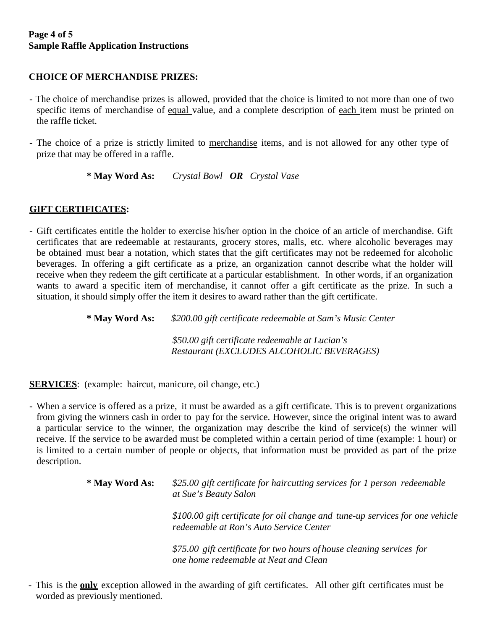#### **Page 4 of 5 Sample Raffle Application Instructions**

#### **CHOICE OF MERCHANDISE PRIZES:**

- The choice of merchandise prizes is allowed, provided that the choice is limited to not more than one of two specific items of merchandise of equal value, and a complete description of each item must be printed on the raffle ticket.
- The choice of a prize is strictly limited to merchandise items, and is not allowed for any other type of prize that may be offered in a raffle.

**\* May Word As:** *Crystal Bowl OR Crystal Vase*

#### **GIFT CERTIFICATES:**

- Gift certificates entitle the holder to exercise his/her option in the choice of an article of merchandise. Gift certificates that are redeemable at restaurants, grocery stores, malls, etc. where alcoholic beverages may be obtained must bear a notation, which states that the gift certificates may not be redeemed for alcoholic beverages. In offering a gift certificate as a prize, an organization cannot describe what the holder will receive when they redeem the gift certificate at a particular establishment. In other words, if an organization wants to award a specific item of merchandise, it cannot offer a gift certificate as the prize. In such a situation, it should simply offer the item it desires to award rather than the gift certificate.

**\* May Word As:** *\$200.00 gift certificate redeemable at Sam's Music Center*

*\$50.00 gift certificate redeemable at Lucian's Restaurant (EXCLUDES ALCOHOLIC BEVERAGES)*

**SERVICES**: (example: haircut, manicure, oil change, etc.)

- When a service is offered as a prize, it must be awarded as a gift certificate. This is to prevent organizations from giving the winners cash in order to pay for the service. However, since the original intent was to award a particular service to the winner, the organization may describe the kind of service(s) the winner will receive. If the service to be awarded must be completed within a certain period of time (example: 1 hour) or is limited to a certain number of people or objects, that information must be provided as part of the prize description.

| * May Word As: | \$25.00 gift certificate for haircutting services for 1 person redeemable<br>at Sue's Beauty Salon                       |  |  |  |  |
|----------------|--------------------------------------------------------------------------------------------------------------------------|--|--|--|--|
|                | \$100.00 gift certificate for oil change and tune-up services for one vehicle<br>redeemable at Ron's Auto Service Center |  |  |  |  |
|                | \$75.00 gift certificate for two hours of house cleaning services for<br>one home redeemable at Neat and Clean           |  |  |  |  |

- This is the **only** exception allowed in the awarding of gift certificates. All other gift certificates must be worded as previously mentioned.